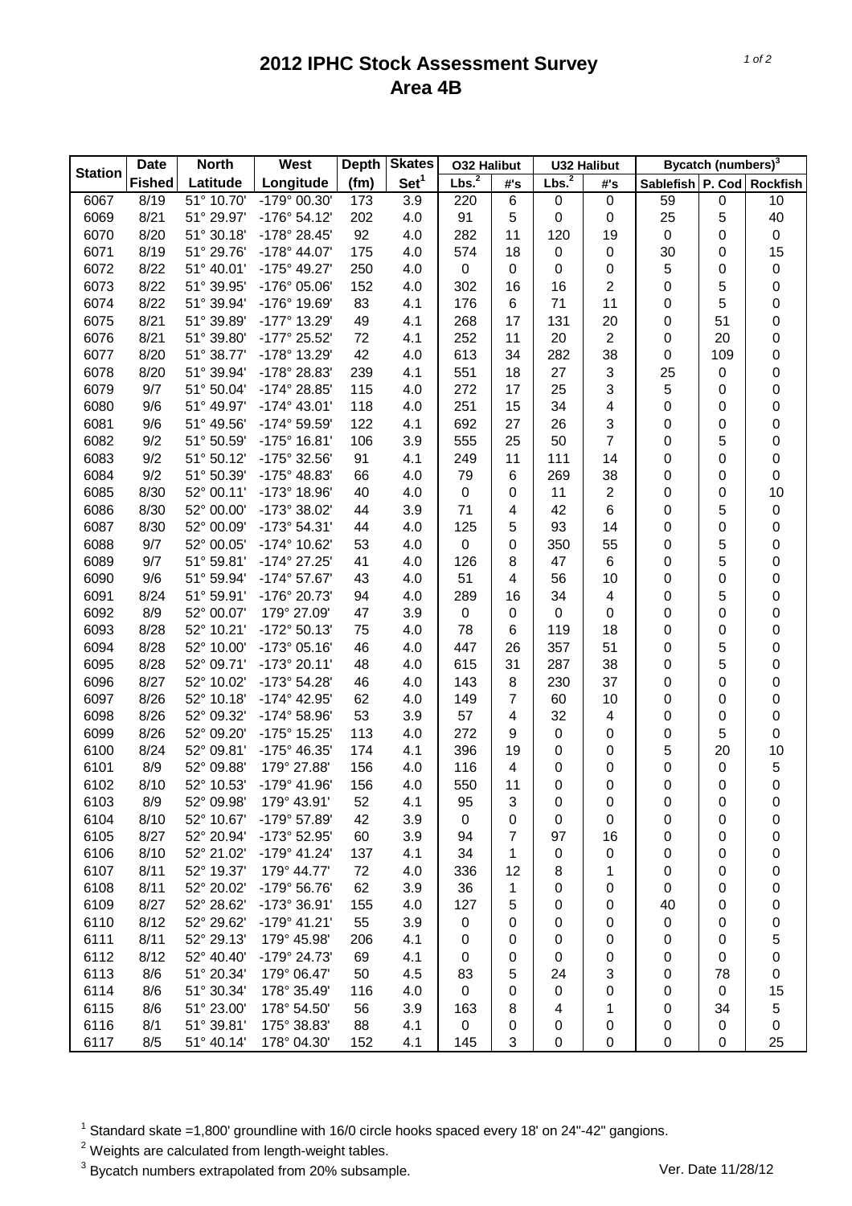## **2012 IPHC Stock Assessment Survey Area 4B**

|                | <b>North</b><br><b>Date</b> |                          | West                  | <b>Depth</b> | <b>Skates</b>    | <b>O32 Halibut</b> |     | <b>U32 Halibut</b> |                | Bycatch (numbers) <sup>3</sup> |             |             |
|----------------|-----------------------------|--------------------------|-----------------------|--------------|------------------|--------------------|-----|--------------------|----------------|--------------------------------|-------------|-------------|
| <b>Station</b> | <b>Fished</b>               | Latitude                 | Longitude             | (fm)         | Set <sup>1</sup> | Lbs. <sup>2</sup>  | #'s | Lbs. <sup>2</sup>  | #'s            | Sablefish P. Cod Rockfish      |             |             |
| 6067           | 8/19                        | $\overline{51}$ ° 10.70' | -179° 00.30'          | 173          | 3.9              | 220                | 6   | $\boldsymbol{0}$   | $\pmb{0}$      | 59                             | $\mathbf 0$ | 10          |
| 6069           | 8/21                        | 51° 29.97'               | $-176°54.12'$         | 202          | 4.0              | 91                 | 5   | 0                  | 0              | 25                             | 5           | 40          |
| 6070           | 8/20                        | 51° 30.18'               | -178° 28.45'          | 92           | 4.0              | 282                | 11  | 120                | 19             | $\pmb{0}$                      | 0           | $\pmb{0}$   |
| 6071           | 8/19                        | 51° 29.76'               | -178° 44.07'          | 175          | 4.0              | 574                | 18  | 0                  | 0              | 30                             | 0           | 15          |
| 6072           | 8/22                        | 51° 40.01'               | -175° 49.27'          | 250          | 4.0              | 0                  | 0   | 0                  | 0              | 5                              | 0           | $\pmb{0}$   |
| 6073           | 8/22                        | 51° 39.95'               | -176° 05.06'          | 152          | 4.0              | 302                | 16  | 16                 | $\overline{c}$ | 0                              | 5           | 0           |
| 6074           | 8/22                        | 51° 39.94'               | -176° 19.69'          | 83           | 4.1              | 176                | 6   | 71                 | 11             | 0                              | 5           | 0           |
| 6075           | 8/21                        | 51° 39.89'               | -177° 13.29'          | 49           | 4.1              | 268                | 17  | 131                | 20             | 0                              | 51          | 0           |
| 6076           | 8/21                        | 51° 39.80'               | -177° 25.52'          | 72           | 4.1              | 252                | 11  | 20                 | $\overline{c}$ | 0                              | 20          | 0           |
| 6077           | 8/20                        | 51° 38.77'               | -178° 13.29'          | 42           | 4.0              | 613                | 34  | 282                | 38             | 0                              | 109         | 0           |
| 6078           | 8/20                        | 51° 39.94'               | -178° 28.83'          | 239          | 4.1              | 551                | 18  | 27                 | 3              | 25                             | 0           | 0           |
| 6079           | 9/7                         | 51° 50.04'               | -174° 28.85'          | 115          | 4.0              | 272                | 17  | 25                 | 3              | 5                              | 0           | 0           |
| 6080           | 9/6                         | 51° 49.97'               | $-174^{\circ}$ 43.01' | 118          | 4.0              | 251                | 15  | 34                 | 4              | 0                              | 0           | 0           |
| 6081           | 9/6                         | 51° 49.56'               | -174° 59.59'          | 122          | 4.1              | 692                | 27  | 26                 | 3              | 0                              | 0           | 0           |
| 6082           | 9/2                         | 51° 50.59'               | $-175^{\circ}$ 16.81' | 106          | 3.9              | 555                | 25  | 50                 | $\overline{7}$ | 0                              | 5           | 0           |
| 6083           | 9/2                         | 51° 50.12'               | -175° 32.56'          | 91           | 4.1              | 249                | 11  | 111                | 14             | 0                              | 0           | 0           |
| 6084           | 9/2                         | 51° 50.39'               | -175° 48.83'          | 66           | 4.0              | 79                 | 6   | 269                | 38             | 0                              | 0           | 0           |
| 6085           | 8/30                        | 52° 00.11'               | -173° 18.96'          | 40           | 4.0              | $\boldsymbol{0}$   | 0   | 11                 | $\overline{2}$ | 0                              | 0           | 10          |
| 6086           | 8/30                        | 52° 00.00'               | -173° 38.02'          | 44           | 3.9              | 71                 | 4   | 42                 | 6              | 0                              | 5           | $\pmb{0}$   |
| 6087           | 8/30                        | 52° 00.09'               | -173° 54.31'          | 44           | 4.0              | 125                | 5   | 93                 | 14             | 0                              | 0           | 0           |
| 6088           | 9/7                         | 52° 00.05'               | -174° 10.62'          | 53           | 4.0              | 0                  | 0   | 350                | 55             | 0                              | 5           | 0           |
| 6089           | 9/7                         | 51° 59.81'               | -174° 27.25'          | 41           | 4.0              | 126                | 8   | 47                 | 6              | 0                              | 5           | 0           |
| 6090           | 9/6                         | 51° 59.94'               | -174° 57.67'          | 43           | 4.0              | 51                 | 4   | 56                 | 10             | 0                              | 0           | 0           |
| 6091           | 8/24                        | 51° 59.91'               | -176° 20.73'          | 94           | 4.0              | 289                | 16  | 34                 | 4              | 0                              | 5           | 0           |
| 6092           | 8/9                         | 52° 00.07'               | 179° 27.09'           | 47           | 3.9              | $\boldsymbol{0}$   | 0   | $\boldsymbol{0}$   | 0              | 0                              | 0           | 0           |
| 6093           | 8/28                        | 52° 10.21'               | -172° 50.13'          | 75           | 4.0              | 78                 | 6   | 119                | 18             | 0                              | 0           | 0           |
| 6094           | 8/28                        | 52° 10.00'               | $-173°05.16'$         | 46           | 4.0              | 447                | 26  | 357                | 51             | 0                              | 5           | 0           |
| 6095           | 8/28                        | 52° 09.71'               | -173° 20.11'          | 48           | 4.0              | 615                | 31  | 287                | 38             | 0                              | 5           | 0           |
| 6096           | 8/27                        | 52° 10.02'               | -173° 54.28'          | 46           | 4.0              | 143                | 8   | 230                | 37             | 0                              | 0           | 0           |
| 6097           | 8/26                        | 52° 10.18'               | -174° 42.95'          | 62           | 4.0              | 149                | 7   | 60                 | 10             | 0                              | 0           | 0           |
| 6098           | 8/26                        | 52° 09.32'               | -174° 58.96'          | 53           | 3.9              | 57                 | 4   | 32                 | 4              | 0                              | 0           | 0           |
| 6099           | 8/26                        | 52° 09.20'               | -175° 15.25'          | 113          | 4.0              | 272                | 9   | 0                  | 0              | 0                              | 5           | 0           |
| 6100           | 8/24                        | 52° 09.81'               | -175° 46.35'          | 174          | 4.1              | 396                | 19  | 0                  | 0              | 5                              | 20          | 10          |
| 6101           | 8/9                         | 52° 09.88'               | 179° 27.88'           | 156          | 4.0              | 116                | 4   | 0                  | 0              | 0                              | 0           | $\mathbf 5$ |
| 6102           | 8/10                        | 52° 10.53'               | -179° 41.96'          | 156          | 4.0              | 550                | 11  | 0                  | 0              | 0                              | 0           | $\mathsf 0$ |
| 6103           | 8/9                         | 52° 09.98'               | 179° 43.91'           | 52           | 4.1              | 95                 | 3   | 0                  | 0              | 0                              | 0           | 0           |
| 6104           | 8/10                        | 52° 10.67'               | -179° 57.89'          | 42           | 3.9              | 0                  | 0   | 0                  | 0              | 0                              | 0           | 0           |
| 6105           | 8/27                        | 52° 20.94'               | -173° 52.95'          | 60           | 3.9              | 94                 | 7   | 97                 | 16             | 0                              | 0           | 0           |
| 6106           | 8/10                        | 52° 21.02'               | $-179^{\circ}$ 41.24' | 137          | 4.1              | 34                 | 1   | 0                  | 0              | 0                              | 0           | 0           |
| 6107           | 8/11                        | 52° 19.37'               | 179° 44.77'           | 72           | 4.0              | 336                | 12  | 8                  | 1              | 0                              | 0           | 0           |
| 6108           | 8/11                        | 52° 20.02'               | -179° 56.76'          | 62           | 3.9              | 36                 | 1   | 0                  | 0              | 0                              | 0           | 0           |
| 6109           | 8/27                        | 52° 28.62'               | -173° 36.91'          | 155          | 4.0              | 127                | 5   | 0                  | 0              | 40                             | 0           | 0           |
| 6110           | 8/12                        | 52° 29.62'               | $-179°$ 41.21'        | 55           | 3.9              | 0                  | 0   | 0                  | 0              | 0                              | 0           | 0           |
| 6111           | 8/11                        | 52° 29.13'               | 179° 45.98'           | 206          | 4.1              | 0                  | 0   | 0                  | 0              | 0                              | 0           | 5           |
| 6112           | 8/12                        | 52° 40.40'               | -179° 24.73'          | 69           | 4.1              | 0                  | 0   | 0                  | 0              | 0                              | 0           | 0           |
| 6113           | 8/6                         | 51° 20.34'               | 179° 06.47'           | 50           | 4.5              | 83                 | 5   | 24                 | 3              | 0                              | 78          | 0           |
| 6114           | 8/6                         | 51° 30.34'               | 178° 35.49'           | 116          | 4.0              | 0                  | 0   | 0                  | 0              | 0                              | 0           | 15          |
| 6115           | 8/6                         | 51° 23.00'               | 178° 54.50'           | 56           | 3.9              | 163                | 8   | 4                  | 1              | 0                              | 34          | $\mathbf 5$ |
| 6116           | 8/1                         | 51° 39.81'               | 175° 38.83'           | 88           | 4.1              | 0                  | 0   | 0                  | 0              | 0                              | 0           | 0           |
| 6117           | 8/5                         | 51° 40.14'               | 178° 04.30'           | 152          | 4.1              | 145                | 3   | 0                  | 0              | 0                              | 0           | 25          |
|                |                             |                          |                       |              |                  |                    |     |                    |                |                                |             |             |

 $1$  Standard skate =1,800' groundline with 16/0 circle hooks spaced every 18' on 24"-42" gangions.

 $2$  Weights are calculated from length-weight tables.

<sup>3</sup> Bycatch numbers extrapolated from 20% subsample. Ver. Date 11/28/12